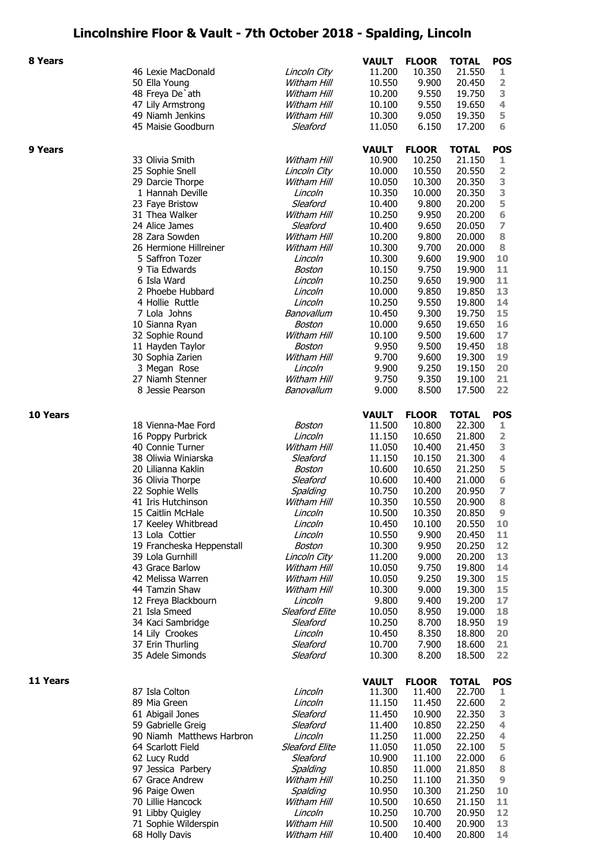## **Lincolnshire Floor & Vault - 7th October 2018 - Spalding, Lincoln**

| 8 Years  |                                     |                            | <b>VAULT</b>           | <b>FLOOR</b>           | <b>TOTAL</b>           | <b>POS</b>              |
|----------|-------------------------------------|----------------------------|------------------------|------------------------|------------------------|-------------------------|
|          | 46 Lexie MacDonald                  | Lincoln City               | 11.200                 | 10.350                 | 21.550                 | 1                       |
|          | 50 Ella Young                       | Witham Hill                | 10.550                 | 9.900                  | 20.450                 | 2                       |
|          | 48 Freya De'ath                     | Witham Hill                | 10.200                 | 9.550                  | 19.750                 | 3                       |
|          | 47 Lily Armstrong                   | Witham Hill                | 10.100                 | 9.550                  | 19.650                 | 4                       |
|          | 49 Niamh Jenkins                    | Witham Hill                | 10.300                 | 9.050                  | 19.350                 | 5                       |
|          | 45 Maisie Goodburn                  | Sleaford                   | 11.050                 | 6.150                  | 17.200                 | 6                       |
| 9 Years  |                                     |                            | <b>VAULT</b>           | <b>FLOOR</b>           | <b>TOTAL</b>           | <b>POS</b>              |
|          | 33 Olivia Smith                     | Witham Hill                | 10.900                 | 10.250                 | 21.150                 | ı                       |
|          | 25 Sophie Snell                     | Lincoln City               | 10.000                 | 10.550                 | 20.550                 | $\overline{\mathbf{2}}$ |
|          | 29 Darcie Thorpe                    | Witham Hill                | 10.050                 | 10.300                 | 20.350                 | 3                       |
|          | 1 Hannah Deville                    | Lincoln                    | 10.350                 | 10.000                 | 20.350                 | 3                       |
|          | 23 Faye Bristow                     | Sleaford                   | 10.400                 | 9.800                  | 20.200                 | 5                       |
|          | 31 Thea Walker                      | Witham Hill                | 10.250                 | 9.950                  | 20.200                 | 6                       |
|          | 24 Alice James                      | Sleaford                   | 10.400                 | 9.650                  | 20.050                 | $\overline{ }$          |
|          | 28 Zara Sowden                      | Witham Hill                | 10.200                 | 9.800                  | 20.000                 | 8                       |
|          | 26 Hermione Hillreiner              | Witham Hill                | 10.300                 | 9.700                  | 20.000                 | 8                       |
|          | 5 Saffron Tozer                     | Lincoln                    | 10.300                 | 9.600                  | 19.900                 | 10                      |
|          | 9 Tia Edwards                       | Boston                     | 10.150                 | 9.750                  | 19.900                 | 11                      |
|          | 6 Isla Ward                         | Lincoln                    | 10.250                 | 9.650                  | 19.900                 | 11                      |
|          | 2 Phoebe Hubbard                    | Lincoln                    | 10.000                 | 9.850                  | 19.850                 | 13                      |
|          | 4 Hollie Ruttle                     | Lincoln                    | 10.250                 | 9.550                  | 19.800                 | 14                      |
|          | 7 Lola Johns                        | Banovallum<br>Boston       | 10.450                 | 9.300<br>9.650         | 19.750<br>19.650       | 15<br>16                |
|          | 10 Sianna Ryan<br>32 Sophie Round   | Witham Hill                | 10.000<br>10.100       | 9.500                  | 19.600                 | 17                      |
|          | 11 Hayden Taylor                    | Boston                     | 9.950                  | 9.500                  | 19.450                 | 18                      |
|          | 30 Sophia Zarien                    | Witham Hill                | 9.700                  | 9.600                  | 19.300                 | 19                      |
|          | 3 Megan Rose                        | Lincoln                    | 9.900                  | 9.250                  | 19.150                 | 20                      |
|          | 27 Niamh Stenner                    | Witham Hill                | 9.750                  | 9.350                  | 19.100                 | 21                      |
|          | 8 Jessie Pearson                    | Banovallum                 | 9.000                  | 8.500                  | 17.500                 | 22                      |
|          |                                     |                            |                        |                        |                        |                         |
| 10 Years | 18 Vienna-Mae Ford                  | Boston                     | <b>VAULT</b><br>11.500 | <b>FLOOR</b><br>10.800 | <b>TOTAL</b><br>22.300 | <b>POS</b><br>1         |
|          | 16 Poppy Purbrick                   | Lincoln                    | 11.150                 | 10.650                 | 21.800                 | 2                       |
|          | 40 Connie Turner                    | Witham Hill                | 11.050                 | 10.400                 | 21.450                 | 3                       |
|          | 38 Oliwia Winiarska                 | Sleaford                   | 11.150                 | 10.150                 | 21.300                 | 4                       |
|          | 20 Lilianna Kaklin                  | Boston                     | 10.600                 | 10.650                 | 21.250                 | 5                       |
|          | 36 Olivia Thorpe                    | Sleaford                   | 10.600                 | 10.400                 | 21.000                 | 6                       |
|          | 22 Sophie Wells                     | Spalding                   | 10.750                 | 10.200                 | 20.950                 | $\overline{z}$          |
|          | 41 Iris Hutchinson                  | Witham Hill                | 10.350                 | 10.550                 | 20.900                 | 8                       |
|          | 15 Caitlin McHale                   | Lincoln                    | 10.500                 | 10.350                 | 20.850                 | 9                       |
|          | 17 Keeley Whitbread                 | Lincoln                    | 10.450                 | 10.100                 | 20.550                 | 10                      |
|          | 13 Lola Cottier                     | Lincoln                    | 10.550                 | 9.900                  | 20.450                 | 11                      |
|          | 19 Francheska Heppenstall           | Boston                     | 10.300                 | 9.950                  | 20.250                 | 12                      |
|          | 39 Lola Gurnhill                    | Lincoln City               | 11.200                 | 9.000                  | 20.200                 | 13                      |
|          | 43 Grace Barlow                     | Witham Hill                | 10.050                 | 9.750                  | 19.800                 | 14                      |
|          | 42 Melissa Warren<br>44 Tamzin Shaw | Witham Hill<br>Witham Hill | 10.050<br>10.300       | 9.250<br>9.000         | 19.300<br>19.300       | 15<br>15                |
|          | 12 Freya Blackbourn                 | Lincoln                    | 9.800                  | 9.400                  | 19.200                 | 17                      |
|          | 21 Isla Smeed                       | Sleaford Elite             | 10.050                 | 8.950                  | 19.000                 | 18                      |
|          | 34 Kaci Sambridge                   | Sleaford                   | 10.250                 | 8.700                  | 18.950                 | 19                      |
|          | 14 Lily Crookes                     | Lincoln                    | 10.450                 | 8.350                  | 18.800                 | 20                      |
|          | 37 Erin Thurling                    | Sleaford                   | 10.700                 | 7.900                  | 18.600                 | 21                      |
|          | 35 Adele Simonds                    | Sleaford                   | 10.300                 | 8.200                  | 18.500                 | 22                      |
| 11 Years |                                     |                            | <b>VAULT</b>           | <b>FLOOR</b>           | <b>TOTAL</b>           | <b>POS</b>              |
|          | 87 Isla Colton                      | Lincoln                    | 11.300                 | 11.400                 | 22.700                 | 1                       |
|          | 89 Mia Green                        | Lincoln                    | 11.150                 | 11.450                 | 22.600                 | 2                       |
|          | 61 Abigail Jones                    | Sleaford                   | 11.450                 | 10.900                 | 22.350                 | 3                       |
|          | 59 Gabrielle Greig                  | Sleaford                   | 11.400                 | 10.850                 | 22.250                 | 4                       |
|          | 90 Niamh Matthews Harbron           | Lincoln                    | 11.250                 | 11.000                 | 22.250                 | 4                       |
|          | 64 Scarlott Field                   | Sleaford Elite             | 11.050                 | 11.050                 | 22.100                 | 5                       |
|          | 62 Lucy Rudd                        | Sleaford                   | 10.900                 | 11.100                 | 22.000                 | 6                       |
|          | 97 Jessica Parbery                  | Spalding                   | 10.850                 | 11.000                 | 21.850                 | 8                       |
|          | 67 Grace Andrew                     | Witham Hill                | 10.250                 | 11.100                 | 21.350                 | $\boldsymbol{9}$        |
|          | 96 Paige Owen<br>70 Lillie Hancock  | Spalding<br>Witham Hill    | 10.950<br>10.500       | 10.300<br>10.650       | 21.250<br>21.150       | 10                      |
|          | 91 Libby Quigley                    | Lincoln                    | 10.250                 | 10.700                 | 20.950                 | 11<br>12                |
|          | 71 Sophie Wilderspin                | Witham Hill                | 10.500                 | 10.400                 | 20.900                 | 13                      |
|          | 68 Holly Davis                      | Witham Hill                | 10.400                 | 10.400                 | 20.800                 | 14                      |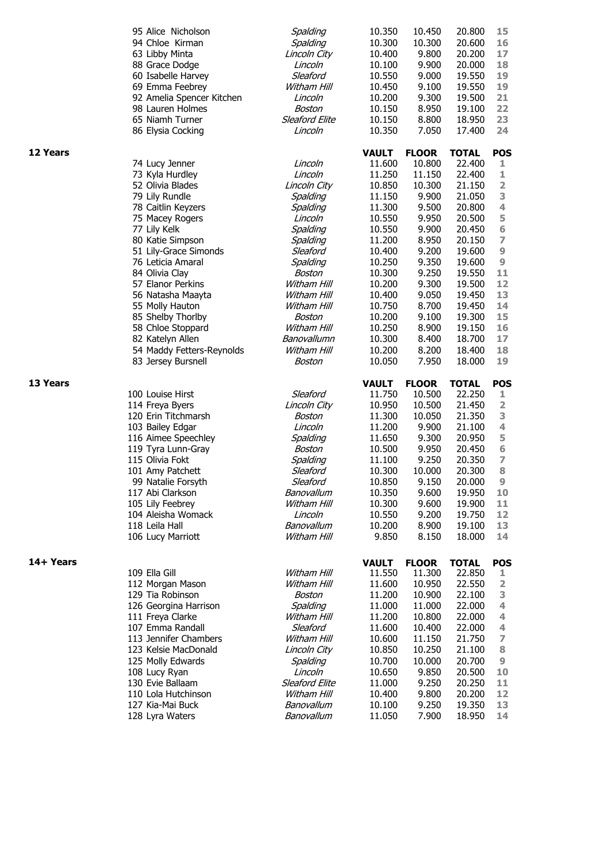|                 | 95 Alice Nicholson<br>94 Chloe Kirman<br>63 Libby Minta<br>88 Grace Dodge<br>60 Isabelle Harvey<br>69 Emma Feebrey<br>92 Amelia Spencer Kitchen<br>98 Lauren Holmes<br>65 Niamh Turner<br>86 Elysia Cocking | Spalding<br>Spalding<br>Lincoln City<br>Lincoln<br>Sleaford<br>Witham Hill<br>Lincoln<br>Boston<br><b>Sleaford Elite</b><br>Lincoln | 10.350<br>10.300<br>10.400<br>10.100<br>10.550<br>10.450<br>10.200<br>10.150<br>10.150<br>10.350 | 10.450<br>10.300<br>9.800<br>9.900<br>9.000<br>9.100<br>9.300<br>8.950<br>8.800<br>7.050 | 20.800<br>20,600<br>20.200<br>20.000<br>19.550<br>19.550<br>19.500<br>19.100<br>18.950<br>17.400 | 15<br>16<br>17<br>18<br>19<br>19<br>21<br>22<br>23<br>24 |
|-----------------|-------------------------------------------------------------------------------------------------------------------------------------------------------------------------------------------------------------|-------------------------------------------------------------------------------------------------------------------------------------|--------------------------------------------------------------------------------------------------|------------------------------------------------------------------------------------------|--------------------------------------------------------------------------------------------------|----------------------------------------------------------|
| <b>12 Years</b> |                                                                                                                                                                                                             |                                                                                                                                     | <b>VAULT</b>                                                                                     | <b>FLOOR</b>                                                                             | <b>TOTAL</b>                                                                                     | <b>POS</b>                                               |
|                 | 74 Lucy Jenner                                                                                                                                                                                              | Lincoln                                                                                                                             | 11.600                                                                                           | 10.800                                                                                   | 22.400                                                                                           | 1                                                        |
|                 | 73 Kyla Hurdley                                                                                                                                                                                             | Lincoln                                                                                                                             | 11.250                                                                                           | 11.150                                                                                   | 22.400                                                                                           | 1                                                        |
|                 | 52 Olivia Blades                                                                                                                                                                                            | Lincoln City                                                                                                                        | 10.850                                                                                           | 10.300                                                                                   | 21.150                                                                                           | 2                                                        |
|                 | 79 Lily Rundle                                                                                                                                                                                              | Spalding                                                                                                                            | 11.150                                                                                           | 9.900                                                                                    | 21.050<br>20.800                                                                                 | 3<br>$\overline{4}$                                      |
|                 | 78 Caitlin Keyzers<br>75 Macey Rogers                                                                                                                                                                       | Spalding<br>Lincoln                                                                                                                 | 11.300<br>10.550                                                                                 | 9.500<br>9.950                                                                           | 20.500                                                                                           | 5                                                        |
|                 | 77 Lily Kelk                                                                                                                                                                                                | Spalding                                                                                                                            | 10.550                                                                                           | 9.900                                                                                    | 20.450                                                                                           | 6                                                        |
|                 | 80 Katie Simpson                                                                                                                                                                                            | Spalding                                                                                                                            | 11.200                                                                                           | 8.950                                                                                    | 20.150                                                                                           | 7                                                        |
|                 | 51 Lily-Grace Simonds                                                                                                                                                                                       | Sleaford                                                                                                                            | 10.400                                                                                           | 9.200                                                                                    | 19.600                                                                                           | $\boldsymbol{9}$                                         |
|                 | 76 Leticia Amaral                                                                                                                                                                                           | Spalding                                                                                                                            | 10.250                                                                                           | 9.350                                                                                    | 19.600                                                                                           | $\boldsymbol{9}$                                         |
|                 | 84 Olivia Clay                                                                                                                                                                                              | Boston                                                                                                                              | 10.300                                                                                           | 9.250                                                                                    | 19.550                                                                                           | 11                                                       |
|                 | 57 Elanor Perkins                                                                                                                                                                                           | Witham Hill                                                                                                                         | 10.200                                                                                           | 9.300                                                                                    | 19.500                                                                                           | 12                                                       |
|                 | 56 Natasha Maayta                                                                                                                                                                                           | Witham Hill                                                                                                                         | 10.400                                                                                           | 9.050                                                                                    | 19.450                                                                                           | 13                                                       |
|                 | 55 Molly Hauton<br>85 Shelby Thorlby                                                                                                                                                                        | Witham Hill<br>Boston                                                                                                               | 10.750<br>10.200                                                                                 | 8.700<br>9.100                                                                           | 19.450<br>19.300                                                                                 | 14<br>15                                                 |
|                 | 58 Chloe Stoppard                                                                                                                                                                                           | Witham Hill                                                                                                                         | 10.250                                                                                           | 8.900                                                                                    | 19.150                                                                                           | 16                                                       |
|                 | 82 Katelyn Allen                                                                                                                                                                                            | Banovallumn                                                                                                                         | 10.300                                                                                           | 8.400                                                                                    | 18.700                                                                                           | 17                                                       |
|                 | 54 Maddy Fetters-Reynolds                                                                                                                                                                                   | Witham Hill                                                                                                                         | 10.200                                                                                           | 8.200                                                                                    | 18.400                                                                                           | 18                                                       |
|                 | 83 Jersey Bursnell                                                                                                                                                                                          | Boston                                                                                                                              | 10.050                                                                                           | 7.950                                                                                    | 18.000                                                                                           | 19                                                       |
| 13 Years        |                                                                                                                                                                                                             |                                                                                                                                     |                                                                                                  |                                                                                          |                                                                                                  |                                                          |
|                 |                                                                                                                                                                                                             |                                                                                                                                     | <b>VAULT</b>                                                                                     | <b>FLOOR</b>                                                                             | <b>TOTAL</b>                                                                                     | <b>POS</b>                                               |
|                 |                                                                                                                                                                                                             |                                                                                                                                     |                                                                                                  |                                                                                          |                                                                                                  |                                                          |
|                 | 100 Louise Hirst                                                                                                                                                                                            | Sleaford                                                                                                                            | 11.750                                                                                           | 10.500                                                                                   | 22.250                                                                                           | 1.                                                       |
|                 | 114 Freya Byers                                                                                                                                                                                             | Lincoln City                                                                                                                        | 10.950                                                                                           | 10.500                                                                                   | 21.450                                                                                           | $\overline{\mathbf{2}}$                                  |
|                 | 120 Erin Titchmarsh                                                                                                                                                                                         | Boston<br>Lincoln                                                                                                                   | 11.300<br>11.200                                                                                 | 10.050                                                                                   | 21.350<br>21.100                                                                                 | 3<br>4                                                   |
|                 | 103 Bailey Edgar<br>116 Aimee Speechley                                                                                                                                                                     | Spalding                                                                                                                            | 11.650                                                                                           | 9.900<br>9.300                                                                           | 20.950                                                                                           | 5                                                        |
|                 | 119 Tyra Lunn-Gray                                                                                                                                                                                          | Boston                                                                                                                              | 10.500                                                                                           | 9.950                                                                                    | 20.450                                                                                           | 6                                                        |
|                 | 115 Olivia Fokt                                                                                                                                                                                             | Spalding                                                                                                                            | 11.100                                                                                           | 9.250                                                                                    | 20.350                                                                                           | $\overline{z}$                                           |
|                 | 101 Amy Patchett                                                                                                                                                                                            | Sleaford                                                                                                                            | 10.300                                                                                           | 10.000                                                                                   | 20.300                                                                                           | $\bf8$                                                   |
|                 | 99 Natalie Forsyth                                                                                                                                                                                          | Sleaford                                                                                                                            | 10.850                                                                                           | 9.150                                                                                    | 20,000                                                                                           | 9                                                        |
|                 | 117 Abi Clarkson                                                                                                                                                                                            | Banovallum                                                                                                                          | 10.350                                                                                           | 9.600                                                                                    | 19.950                                                                                           | 10                                                       |
|                 | 105 Lily Feebrey                                                                                                                                                                                            | Witham Hill                                                                                                                         | 10.300                                                                                           | 9.600                                                                                    | 19.900                                                                                           | 11                                                       |
|                 | 104 Aleisha Womack                                                                                                                                                                                          | Lincoln                                                                                                                             | 10.550                                                                                           | 9.200                                                                                    | 19.750                                                                                           | 12                                                       |
|                 | 118 Leila Hall<br>106 Lucy Marriott                                                                                                                                                                         | Banovallum<br>Witham Hill                                                                                                           | 10.200<br>9.850                                                                                  | 8.900<br>8.150                                                                           | 19.100<br>18.000                                                                                 | 13<br>14                                                 |
|                 |                                                                                                                                                                                                             |                                                                                                                                     |                                                                                                  |                                                                                          |                                                                                                  |                                                          |
| 14+ Years       |                                                                                                                                                                                                             |                                                                                                                                     | <b>VAULT</b>                                                                                     | <b>FLOOR</b>                                                                             | <b>TOTAL</b>                                                                                     | <b>POS</b>                                               |
|                 | 109 Ella Gill                                                                                                                                                                                               | Witham Hill                                                                                                                         | 11.550                                                                                           | 11.300                                                                                   | 22.850                                                                                           | 1                                                        |
|                 | 112 Morgan Mason                                                                                                                                                                                            | Witham Hill                                                                                                                         | 11.600                                                                                           | 10.950                                                                                   | 22.550                                                                                           | 2                                                        |
|                 | 129 Tia Robinson                                                                                                                                                                                            | Boston                                                                                                                              | 11.200                                                                                           | 10.900                                                                                   | 22.100                                                                                           | 3                                                        |
|                 | 126 Georgina Harrison                                                                                                                                                                                       | Spalding                                                                                                                            | 11.000                                                                                           | 11.000                                                                                   | 22.000                                                                                           | 4                                                        |
|                 | 111 Freya Clarke                                                                                                                                                                                            | Witham Hill                                                                                                                         | 11.200                                                                                           | 10.800                                                                                   | 22.000                                                                                           | 4                                                        |
|                 | 107 Emma Randall<br>113 Jennifer Chambers                                                                                                                                                                   | Sleaford<br>Witham Hill                                                                                                             | 11.600<br>10.600                                                                                 | 10.400<br>11.150                                                                         | 22.000<br>21.750                                                                                 | 4<br>7                                                   |
|                 | 123 Kelsie MacDonald                                                                                                                                                                                        | Lincoln City                                                                                                                        | 10.850                                                                                           | 10.250                                                                                   | 21.100                                                                                           | 8                                                        |
|                 | 125 Molly Edwards                                                                                                                                                                                           | Spalding                                                                                                                            | 10.700                                                                                           | 10.000                                                                                   | 20.700                                                                                           | 9                                                        |
|                 | 108 Lucy Ryan                                                                                                                                                                                               | Lincoln                                                                                                                             | 10.650                                                                                           | 9.850                                                                                    | 20.500                                                                                           | 10                                                       |
|                 | 130 Evie Ballaam                                                                                                                                                                                            | Sleaford Elite                                                                                                                      | 11.000                                                                                           | 9.250                                                                                    | 20.250                                                                                           | 11                                                       |
|                 | 110 Lola Hutchinson                                                                                                                                                                                         | Witham Hill                                                                                                                         | 10.400                                                                                           | 9.800                                                                                    | 20.200                                                                                           | 12                                                       |
|                 | 127 Kia-Mai Buck<br>128 Lyra Waters                                                                                                                                                                         | Banovallum<br>Banovallum                                                                                                            | 10.100<br>11.050                                                                                 | 9.250<br>7.900                                                                           | 19.350<br>18.950                                                                                 | 13<br>14                                                 |